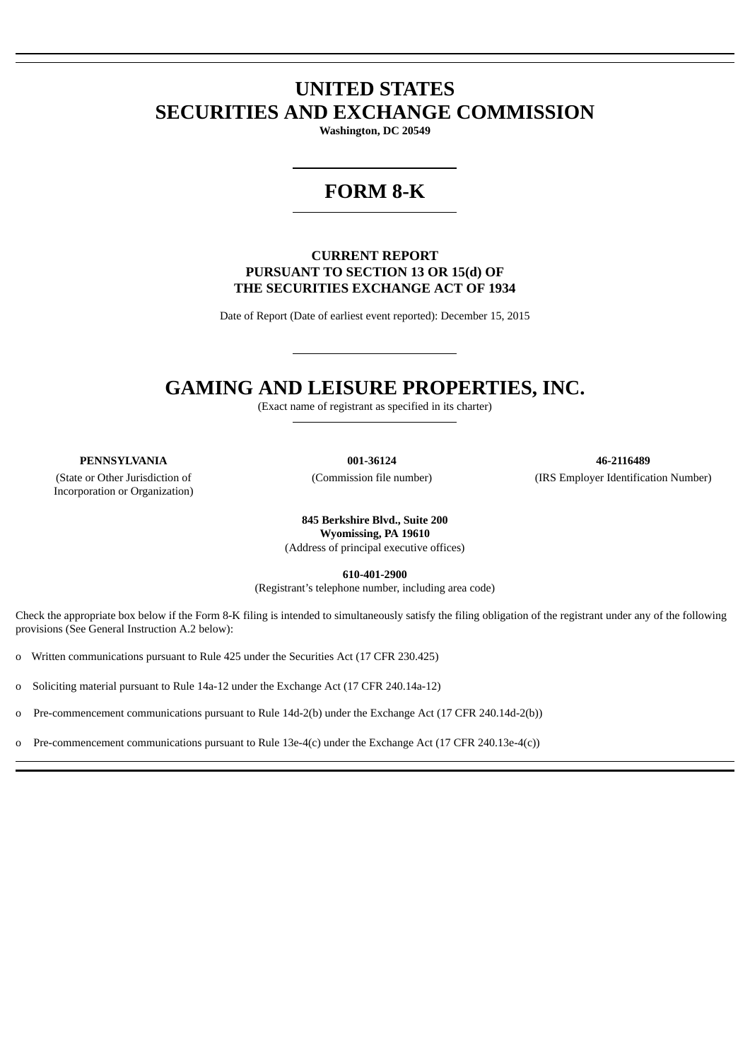# **UNITED STATES SECURITIES AND EXCHANGE COMMISSION**

**Washington, DC 20549**

# **FORM 8-K**

## **CURRENT REPORT PURSUANT TO SECTION 13 OR 15(d) OF THE SECURITIES EXCHANGE ACT OF 1934**

Date of Report (Date of earliest event reported): December 15, 2015

# **GAMING AND LEISURE PROPERTIES, INC.**

(Exact name of registrant as specified in its charter)

(State or Other Jurisdiction of Incorporation or Organization)

**PENNSYLVANIA 001-36124 46-2116489** (Commission file number) (IRS Employer Identification Number)

> **845 Berkshire Blvd., Suite 200 Wyomissing, PA 19610** (Address of principal executive offices)

> > **610-401-2900**

(Registrant's telephone number, including area code)

Check the appropriate box below if the Form 8-K filing is intended to simultaneously satisfy the filing obligation of the registrant under any of the following provisions (See General Instruction A.2 below):

o Written communications pursuant to Rule 425 under the Securities Act (17 CFR 230.425)

o Soliciting material pursuant to Rule 14a-12 under the Exchange Act (17 CFR 240.14a-12)

o Pre-commencement communications pursuant to Rule 14d-2(b) under the Exchange Act (17 CFR 240.14d-2(b))

o Pre-commencement communications pursuant to Rule 13e-4(c) under the Exchange Act (17 CFR 240.13e-4(c))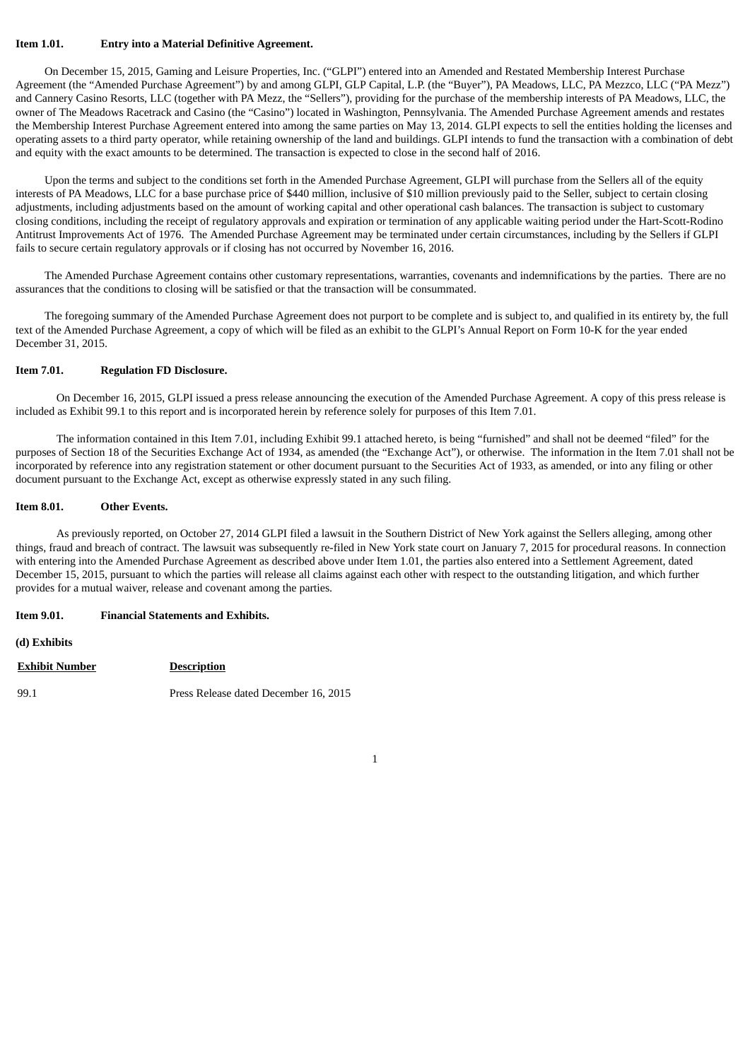## **Item 1.01. Entry into a Material Definitive Agreement.**

On December 15, 2015, Gaming and Leisure Properties, Inc. ("GLPI") entered into an Amended and Restated Membership Interest Purchase Agreement (the "Amended Purchase Agreement") by and among GLPI, GLP Capital, L.P. (the "Buyer"), PA Meadows, LLC, PA Mezzco, LLC ("PA Mezz") and Cannery Casino Resorts, LLC (together with PA Mezz, the "Sellers"), providing for the purchase of the membership interests of PA Meadows, LLC, the owner of The Meadows Racetrack and Casino (the "Casino") located in Washington, Pennsylvania. The Amended Purchase Agreement amends and restates the Membership Interest Purchase Agreement entered into among the same parties on May 13, 2014. GLPI expects to sell the entities holding the licenses and operating assets to a third party operator, while retaining ownership of the land and buildings. GLPI intends to fund the transaction with a combination of debt and equity with the exact amounts to be determined. The transaction is expected to close in the second half of 2016.

Upon the terms and subject to the conditions set forth in the Amended Purchase Agreement, GLPI will purchase from the Sellers all of the equity interests of PA Meadows, LLC for a base purchase price of \$440 million, inclusive of \$10 million previously paid to the Seller, subject to certain closing adjustments, including adjustments based on the amount of working capital and other operational cash balances. The transaction is subject to customary closing conditions, including the receipt of regulatory approvals and expiration or termination of any applicable waiting period under the Hart-Scott-Rodino Antitrust Improvements Act of 1976. The Amended Purchase Agreement may be terminated under certain circumstances, including by the Sellers if GLPI fails to secure certain regulatory approvals or if closing has not occurred by November 16, 2016.

The Amended Purchase Agreement contains other customary representations, warranties, covenants and indemnifications by the parties. There are no assurances that the conditions to closing will be satisfied or that the transaction will be consummated.

The foregoing summary of the Amended Purchase Agreement does not purport to be complete and is subject to, and qualified in its entirety by, the full text of the Amended Purchase Agreement, a copy of which will be filed as an exhibit to the GLPI's Annual Report on Form 10-K for the year ended December 31, 2015.

#### **Item 7.01. Regulation FD Disclosure.**

On December 16, 2015, GLPI issued a press release announcing the execution of the Amended Purchase Agreement. A copy of this press release is included as Exhibit 99.1 to this report and is incorporated herein by reference solely for purposes of this Item 7.01.

The information contained in this Item 7.01, including Exhibit 99.1 attached hereto, is being "furnished" and shall not be deemed "filed" for the purposes of Section 18 of the Securities Exchange Act of 1934, as amended (the "Exchange Act"), or otherwise. The information in the Item 7.01 shall not be incorporated by reference into any registration statement or other document pursuant to the Securities Act of 1933, as amended, or into any filing or other document pursuant to the Exchange Act, except as otherwise expressly stated in any such filing.

#### **Item 8.01. Other Events.**

As previously reported, on October 27, 2014 GLPI filed a lawsuit in the Southern District of New York against the Sellers alleging, among other things, fraud and breach of contract. The lawsuit was subsequently re-filed in New York state court on January 7, 2015 for procedural reasons. In connection with entering into the Amended Purchase Agreement as described above under Item 1.01, the parties also entered into a Settlement Agreement, dated December 15, 2015, pursuant to which the parties will release all claims against each other with respect to the outstanding litigation, and which further provides for a mutual waiver, release and covenant among the parties.

## **Item 9.01. Financial Statements and Exhibits.**

## **(d) Exhibits**

## **Exhibit Number Description**

99.1 Press Release dated December 16, 2015

1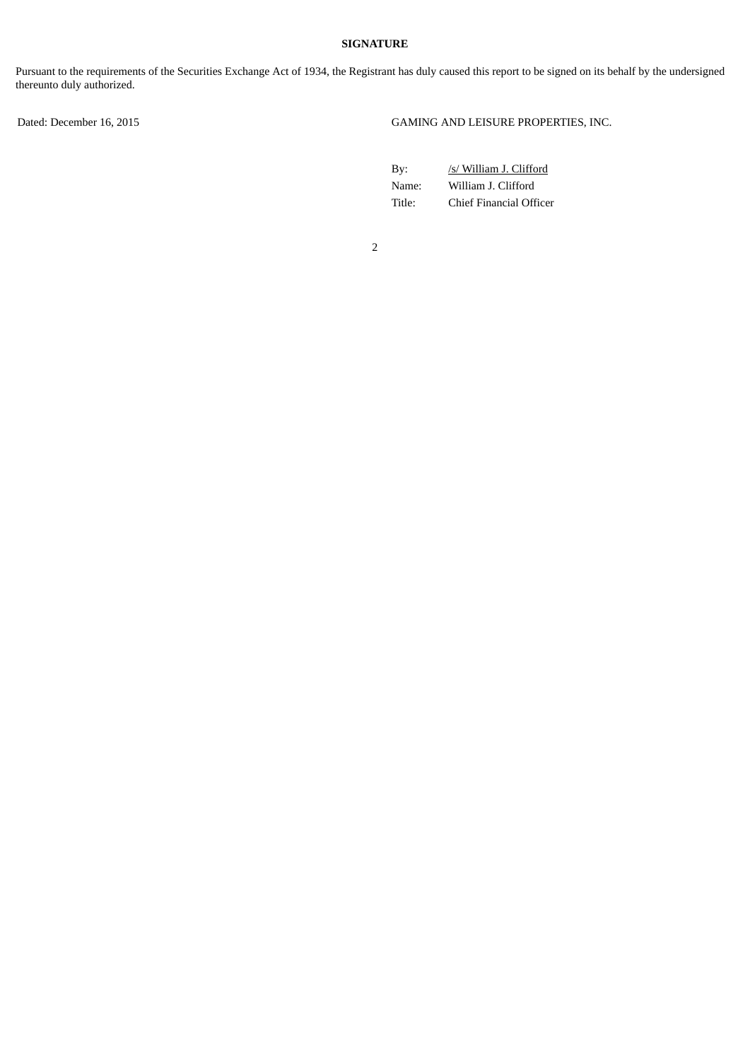## **SIGNATURE**

Pursuant to the requirements of the Securities Exchange Act of 1934, the Registrant has duly caused this report to be signed on its behalf by the undersigned thereunto duly authorized.

Dated: December 16, 2015 GAMING AND LEISURE PROPERTIES, INC.

| Bv:    | /s/ William J. Clifford |
|--------|-------------------------|
| Name:  | William J. Clifford     |
| Title: | Chief Financial Officer |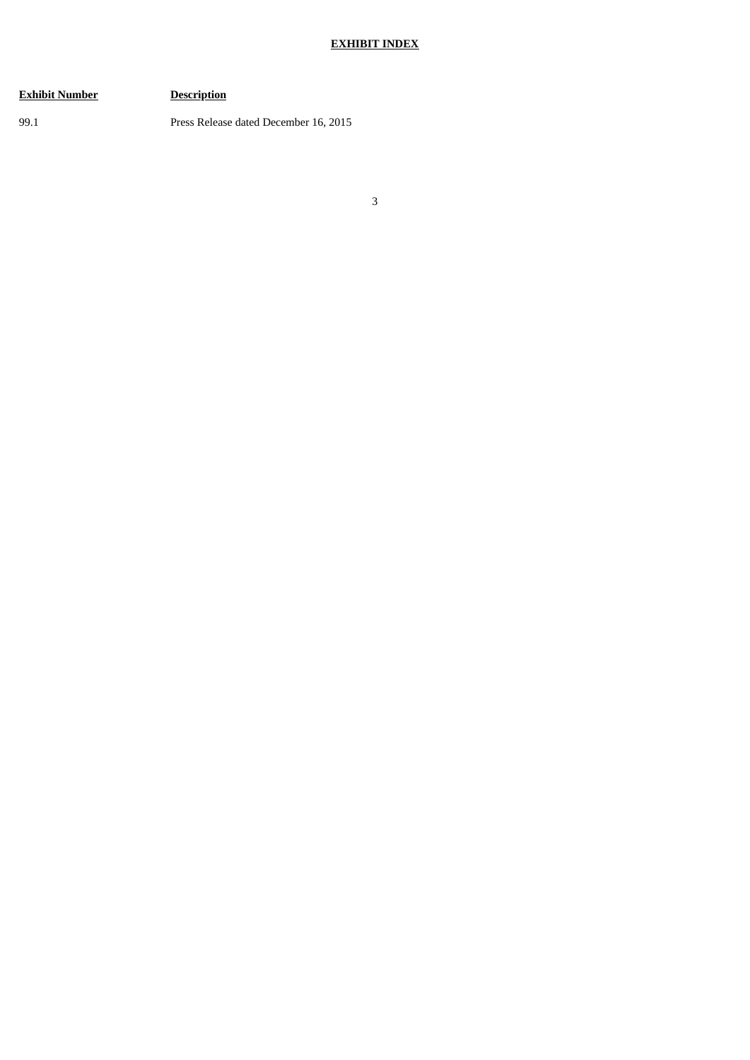## **EXHIBIT INDEX**

## **Exhibit Number Description**

99.1 Press Release dated December 16, 2015

3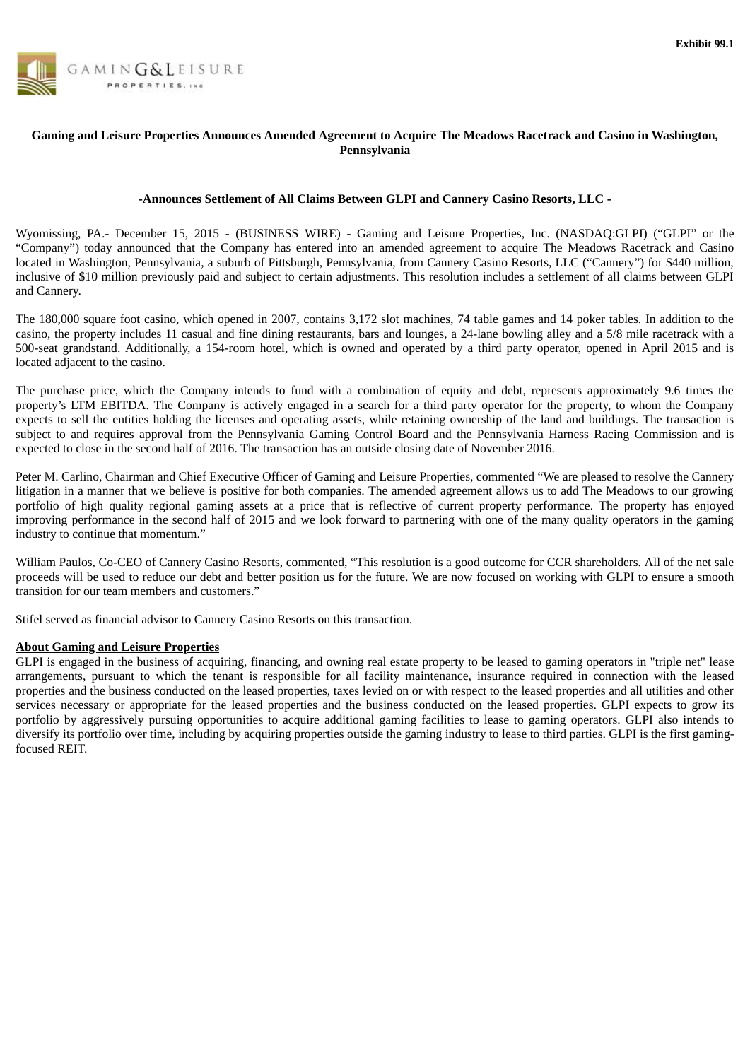

## Gaming and Leisure Properties Announces Amended Agreement to Acquire The Meadows Racetrack and Casino in Washington, **Pennsylvania**

## **-Announces Settlement of All Claims Between GLPI and Cannery Casino Resorts, LLC -**

Wyomissing, PA.- December 15, 2015 - (BUSINESS WIRE) - Gaming and Leisure Properties, Inc. (NASDAQ:GLPI) ("GLPI" or the "Company") today announced that the Company has entered into an amended agreement to acquire The Meadows Racetrack and Casino located in Washington, Pennsylvania, a suburb of Pittsburgh, Pennsylvania, from Cannery Casino Resorts, LLC ("Cannery") for \$440 million, inclusive of \$10 million previously paid and subject to certain adjustments. This resolution includes a settlement of all claims between GLPI and Cannery.

The 180,000 square foot casino, which opened in 2007, contains 3,172 slot machines, 74 table games and 14 poker tables. In addition to the casino, the property includes 11 casual and fine dining restaurants, bars and lounges, a 24-lane bowling alley and a 5/8 mile racetrack with a 500-seat grandstand. Additionally, a 154-room hotel, which is owned and operated by a third party operator, opened in April 2015 and is located adjacent to the casino.

The purchase price, which the Company intends to fund with a combination of equity and debt, represents approximately 9.6 times the property's LTM EBITDA. The Company is actively engaged in a search for a third party operator for the property, to whom the Company expects to sell the entities holding the licenses and operating assets, while retaining ownership of the land and buildings. The transaction is subject to and requires approval from the Pennsylvania Gaming Control Board and the Pennsylvania Harness Racing Commission and is expected to close in the second half of 2016. The transaction has an outside closing date of November 2016.

Peter M. Carlino, Chairman and Chief Executive Officer of Gaming and Leisure Properties, commented "We are pleased to resolve the Cannery litigation in a manner that we believe is positive for both companies. The amended agreement allows us to add The Meadows to our growing portfolio of high quality regional gaming assets at a price that is reflective of current property performance. The property has enjoyed improving performance in the second half of 2015 and we look forward to partnering with one of the many quality operators in the gaming industry to continue that momentum."

William Paulos, Co-CEO of Cannery Casino Resorts, commented, "This resolution is a good outcome for CCR shareholders. All of the net sale proceeds will be used to reduce our debt and better position us for the future. We are now focused on working with GLPI to ensure a smooth transition for our team members and customers."

Stifel served as financial advisor to Cannery Casino Resorts on this transaction.

## **About Gaming and Leisure Properties**

GLPI is engaged in the business of acquiring, financing, and owning real estate property to be leased to gaming operators in "triple net" lease arrangements, pursuant to which the tenant is responsible for all facility maintenance, insurance required in connection with the leased properties and the business conducted on the leased properties, taxes levied on or with respect to the leased properties and all utilities and other services necessary or appropriate for the leased properties and the business conducted on the leased properties. GLPI expects to grow its portfolio by aggressively pursuing opportunities to acquire additional gaming facilities to lease to gaming operators. GLPI also intends to diversify its portfolio over time, including by acquiring properties outside the gaming industry to lease to third parties. GLPI is the first gamingfocused REIT.